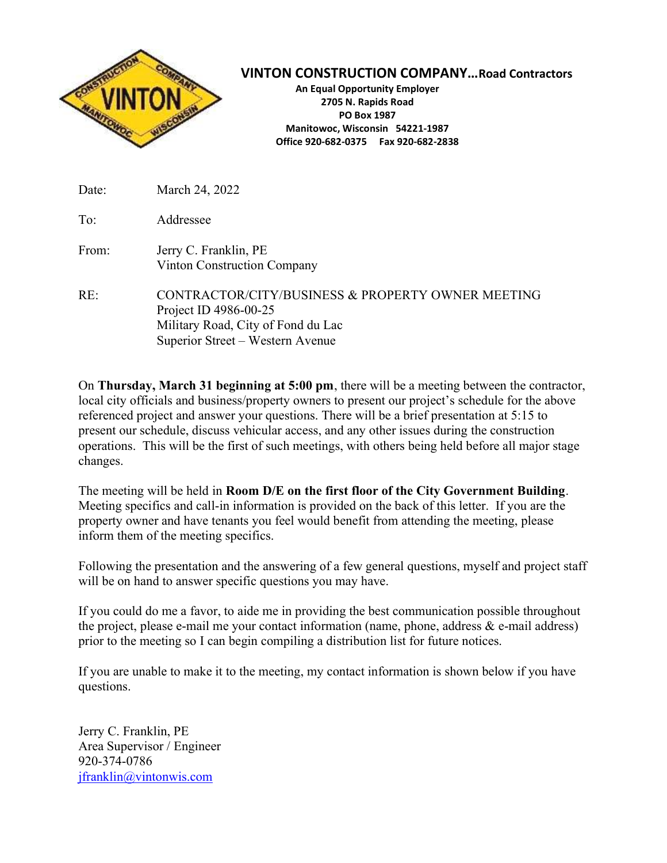

VINTON CONSTRUCTION COMPANY…Road Contractors

An Equal Opportunity Employer 2705 N. Rapids Road PO Box 1987 Manitowoc, Wisconsin 54221-1987 Office 920-682-0375 Fax 920-682-2838

| Date: | March 24, 2022                                                                                                                                       |
|-------|------------------------------------------------------------------------------------------------------------------------------------------------------|
| To:   | Addressee                                                                                                                                            |
| From: | Jerry C. Franklin, PE<br><b>Vinton Construction Company</b>                                                                                          |
| RE:   | CONTRACTOR/CITY/BUSINESS & PROPERTY OWNER MEETING<br>Project ID 4986-00-25<br>Military Road, City of Fond du Lac<br>Superior Street - Western Avenue |

On Thursday, March 31 beginning at 5:00 pm, there will be a meeting between the contractor, local city officials and business/property owners to present our project's schedule for the above referenced project and answer your questions. There will be a brief presentation at 5:15 to present our schedule, discuss vehicular access, and any other issues during the construction operations. This will be the first of such meetings, with others being held before all major stage changes.

The meeting will be held in Room D/E on the first floor of the City Government Building. Meeting specifics and call-in information is provided on the back of this letter. If you are the property owner and have tenants you feel would benefit from attending the meeting, please inform them of the meeting specifics.

Following the presentation and the answering of a few general questions, myself and project staff will be on hand to answer specific questions you may have.

If you could do me a favor, to aide me in providing the best communication possible throughout the project, please e-mail me your contact information (name, phone, address  $\&$  e-mail address) prior to the meeting so I can begin compiling a distribution list for future notices.

If you are unable to make it to the meeting, my contact information is shown below if you have questions.

Jerry C. Franklin, PE Area Supervisor / Engineer 920-374-0786 jfranklin@vintonwis.com